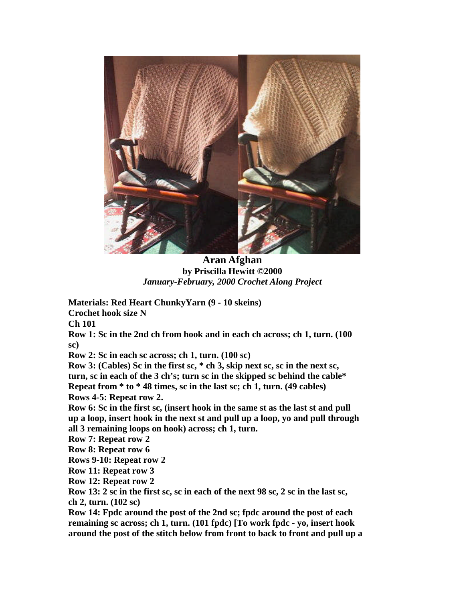

**Aran Afghan by Priscilla Hewitt ©2000** *January-February, 2000 Crochet Along Project*

**Materials: Red Heart ChunkyYarn (9 - 10 skeins)**

**Crochet hook size N**

**Ch 101**

**Row 1: Sc in the 2nd ch from hook and in each ch across; ch 1, turn. (100 sc)**

**Row 2: Sc in each sc across; ch 1, turn. (100 sc)**

**Row 3: (Cables) Sc in the first sc, \* ch 3, skip next sc, sc in the next sc, turn, sc in each of the 3 ch's; turn sc in the skipped sc behind the cable\* Repeat from \* to \* 48 times, sc in the last sc; ch 1, turn. (49 cables) Rows 4-5: Repeat row 2.**

**Row 6: Sc in the first sc, (insert hook in the same st as the last st and pull up a loop, insert hook in the next st and pull up a loop, yo and pull through all 3 remaining loops on hook) across; ch 1, turn.**

**Row 7: Repeat row 2**

**Row 8: Repeat row 6**

**Rows 9-10: Repeat row 2**

**Row 11: Repeat row 3**

**Row 12: Repeat row 2**

**Row 13: 2 sc in the first sc, sc in each of the next 98 sc, 2 sc in the last sc, ch 2, turn. (102 sc)**

**Row 14: Fpdc around the post of the 2nd sc; fpdc around the post of each remaining sc across; ch 1, turn. (101 fpdc) [To work fpdc - yo, insert hook around the post of the stitch below from front to back to front and pull up a**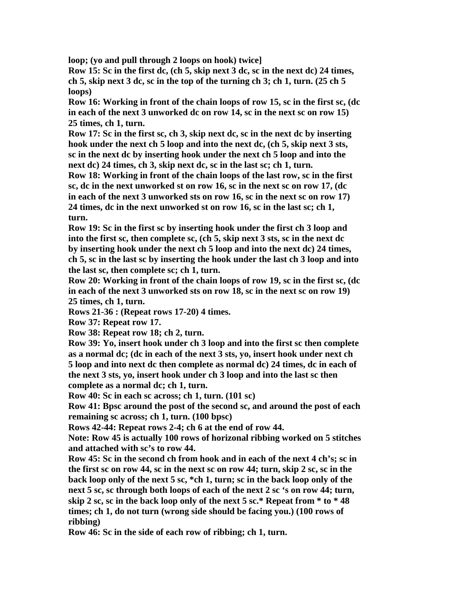**loop; (yo and pull through 2 loops on hook) twice]**

**Row 15: Sc in the first dc, (ch 5, skip next 3 dc, sc in the next dc) 24 times, ch 5, skip next 3 dc, sc in the top of the turning ch 3; ch 1, turn. (25 ch 5 loops)**

**Row 16: Working in front of the chain loops of row 15, sc in the first sc, (dc in each of the next 3 unworked dc on row 14, sc in the next sc on row 15) 25 times, ch 1, turn.**

**Row 17: Sc in the first sc, ch 3, skip next dc, sc in the next dc by inserting hook under the next ch 5 loop and into the next dc, (ch 5, skip next 3 sts, sc in the next dc by inserting hook under the next ch 5 loop and into the next dc) 24 times, ch 3, skip next dc, sc in the last sc; ch 1, turn.**

**Row 18: Working in front of the chain loops of the last row, sc in the first sc, dc in the next unworked st on row 16, sc in the next sc on row 17, (dc in each of the next 3 unworked sts on row 16, sc in the next sc on row 17) 24 times, dc in the next unworked st on row 16, sc in the last sc; ch 1, turn.**

**Row 19: Sc in the first sc by inserting hook under the first ch 3 loop and into the first sc, then complete sc, (ch 5, skip next 3 sts, sc in the next dc by inserting hook under the next ch 5 loop and into the next dc) 24 times, ch 5, sc in the last sc by inserting the hook under the last ch 3 loop and into the last sc, then complete sc; ch 1, turn.**

**Row 20: Working in front of the chain loops of row 19, sc in the first sc, (dc in each of the next 3 unworked sts on row 18, sc in the next sc on row 19) 25 times, ch 1, turn.**

**Rows 21-36 : (Repeat rows 17-20) 4 times.**

**Row 37: Repeat row 17.**

**Row 38: Repeat row 18; ch 2, turn.**

**Row 39: Yo, insert hook under ch 3 loop and into the first sc then complete as a normal dc; (dc in each of the next 3 sts, yo, insert hook under next ch 5 loop and into next dc then complete as normal dc) 24 times, dc in each of the next 3 sts, yo, insert hook under ch 3 loop and into the last sc then complete as a normal dc; ch 1, turn.**

**Row 40: Sc in each sc across; ch 1, turn. (101 sc)**

**Row 41: Bpsc around the post of the second sc, and around the post of each remaining sc across; ch 1, turn. (100 bpsc)**

**Rows 42-44: Repeat rows 2-4; ch 6 at the end of row 44.**

**Note: Row 45 is actually 100 rows of horizonal ribbing worked on 5 stitches and attached with sc's to row 44.**

**Row 45: Sc in the second ch from hook and in each of the next 4 ch's; sc in the first sc on row 44, sc in the next sc on row 44; turn, skip 2 sc, sc in the back loop only of the next 5 sc, \*ch 1, turn; sc in the back loop only of the next 5 sc, sc through both loops of each of the next 2 sc 's on row 44; turn, skip 2 sc, sc in the back loop only of the next 5 sc.\* Repeat from \* to \* 48 times; ch 1, do not turn (wrong side should be facing you.) (100 rows of ribbing)**

**Row 46: Sc in the side of each row of ribbing; ch 1, turn.**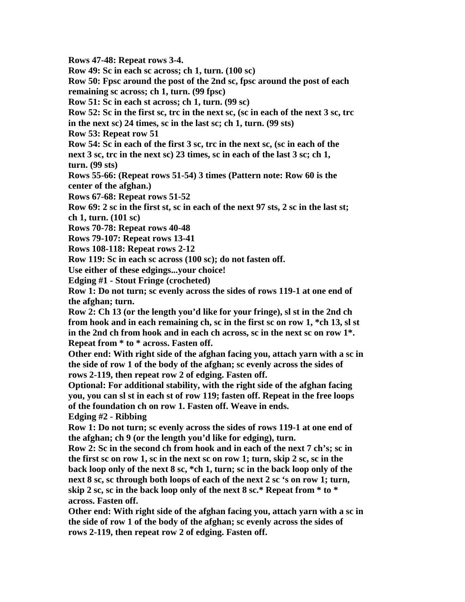**Rows 47-48: Repeat rows 3-4.**

**Row 49: Sc in each sc across; ch 1, turn. (100 sc)**

**Row 50: Fpsc around the post of the 2nd sc, fpsc around the post of each remaining sc across; ch 1, turn. (99 fpsc)**

**Row 51: Sc in each st across; ch 1, turn. (99 sc)**

**Row 52: Sc in the first sc, trc in the next sc, (sc in each of the next 3 sc, trc**

**in the next sc) 24 times, sc in the last sc; ch 1, turn. (99 sts)**

**Row 53: Repeat row 51**

**Row 54: Sc in each of the first 3 sc, trc in the next sc, (sc in each of the next 3 sc, trc in the next sc) 23 times, sc in each of the last 3 sc; ch 1,**

**turn. (99 sts)**

**Rows 55-66: (Repeat rows 51-54) 3 times (Pattern note: Row 60 is the center of the afghan.)**

**Rows 67-68: Repeat rows 51-52**

**Row 69: 2 sc in the first st, sc in each of the next 97 sts, 2 sc in the last st; ch 1, turn. (101 sc)**

**Rows 70-78: Repeat rows 40-48**

**Rows 79-107: Repeat rows 13-41**

**Rows 108-118: Repeat rows 2-12**

**Row 119: Sc in each sc across (100 sc); do not fasten off.**

**Use either of these edgings...your choice!**

**Edging #1 - Stout Fringe (crocheted)**

**Row 1: Do not turn; sc evenly across the sides of rows 119-1 at one end of the afghan; turn.**

**Row 2: Ch 13 (or the length you'd like for your fringe), sl st in the 2nd ch from hook and in each remaining ch, sc in the first sc on row 1, \*ch 13, sl st in the 2nd ch from hook and in each ch across, sc in the next sc on row 1\*. Repeat from \* to \* across. Fasten off.**

**Other end: With right side of the afghan facing you, attach yarn with a sc in the side of row 1 of the body of the afghan; sc evenly across the sides of rows 2-119, then repeat row 2 of edging. Fasten off.**

**Optional: For additional stability, with the right side of the afghan facing you, you can sl st in each st of row 119; fasten off. Repeat in the free loops of the foundation ch on row 1. Fasten off. Weave in ends.**

**Edging #2 - Ribbing**

**Row 1: Do not turn; sc evenly across the sides of rows 119-1 at one end of the afghan; ch 9 (or the length you'd like for edging), turn.**

**Row 2: Sc in the second ch from hook and in each of the next 7 ch's; sc in the first sc on row 1, sc in the next sc on row 1; turn, skip 2 sc, sc in the back loop only of the next 8 sc, \*ch 1, turn; sc in the back loop only of the next 8 sc, sc through both loops of each of the next 2 sc 's on row 1; turn, skip 2 sc, sc in the back loop only of the next 8 sc.\* Repeat from \* to \* across. Fasten off.**

**Other end: With right side of the afghan facing you, attach yarn with a sc in the side of row 1 of the body of the afghan; sc evenly across the sides of rows 2-119, then repeat row 2 of edging. Fasten off.**